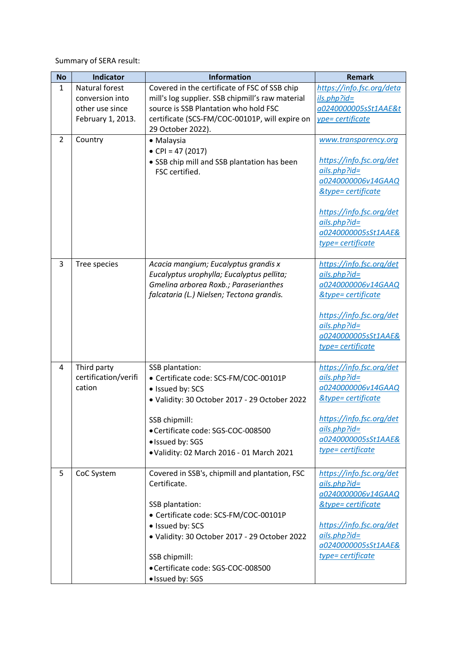Summary of SERA result:

| <b>No</b>    | <b>Indicator</b>     | <b>Information</b>                                                                                                                                                      | <b>Remark</b>                                                                          |
|--------------|----------------------|-------------------------------------------------------------------------------------------------------------------------------------------------------------------------|----------------------------------------------------------------------------------------|
| $\mathbf{1}$ | Natural forest       | Covered in the certificate of FSC of SSB chip                                                                                                                           | https://info.fsc.org/deta                                                              |
|              | conversion into      | mill's log supplier. SSB chipmill's raw material                                                                                                                        | ils.php?id=                                                                            |
|              | other use since      | source is SSB Plantation who hold FSC                                                                                                                                   | a0240000005sSt1AAE&t                                                                   |
|              | February 1, 2013.    | certificate (SCS-FM/COC-00101P, will expire on<br>29 October 2022).                                                                                                     | ype= certificate                                                                       |
| 2            | Country              | • Malaysia<br>• CPI = 47 (2017)<br>• SSB chip mill and SSB plantation has been                                                                                          | www.transparency.org<br>https://info.fsc.org/det                                       |
|              |                      | FSC certified.                                                                                                                                                          | $ails.php?id=$<br>a0240000006v14GAAQ<br><b>&amp;type=certificate</b>                   |
|              |                      |                                                                                                                                                                         | https://info.fsc.org/det<br>$ails.php?id=$<br>a0240000005sSt1AAE&<br>type= certificate |
| 3            | Tree species         | Acacia mangium; Eucalyptus grandis x<br>Eucalyptus urophylla; Eucalyptus pellita;<br>Gmelina arborea Roxb.; Paraserianthes<br>falcataria (L.) Nielsen; Tectona grandis. | https://info.fsc.org/det<br>$ails.php?id=$<br>a0240000006v14GAAQ<br>&type= certificate |
|              |                      |                                                                                                                                                                         | https://info.fsc.org/det<br>$ails.php?id=$<br>a0240000005sSt1AAE&<br>type= certificate |
| 4            | Third party          | SSB plantation:                                                                                                                                                         | https://info.fsc.org/det                                                               |
|              | certification/verifi | • Certificate code: SCS-FM/COC-00101P                                                                                                                                   | $ails.php?id=$                                                                         |
|              | cation               | • Issued by: SCS                                                                                                                                                        | a0240000006v14GAAQ                                                                     |
|              |                      | · Validity: 30 October 2017 - 29 October 2022                                                                                                                           | &type= certificate                                                                     |
|              |                      | SSB chipmill:                                                                                                                                                           | https://info.fsc.org/det                                                               |
|              |                      | · Certificate code: SGS-COC-008500                                                                                                                                      | $ails.php?id=$                                                                         |
|              |                      | · Issued by: SGS                                                                                                                                                        | a0240000005sSt1AAE&<br>type= certificate                                               |
|              |                      | . Validity: 02 March 2016 - 01 March 2021                                                                                                                               |                                                                                        |
| 5            | CoC System           | Covered in SSB's, chipmill and plantation, FSC                                                                                                                          | https://info.fsc.org/det                                                               |
|              |                      | Certificate.                                                                                                                                                            | $ails.php$ ?id=<br>a0240000006v14GAAQ                                                  |
|              |                      | SSB plantation:                                                                                                                                                         | &type= certificate                                                                     |
|              |                      | • Certificate code: SCS-FM/COC-00101P                                                                                                                                   |                                                                                        |
|              |                      | · Issued by: SCS                                                                                                                                                        | https://info.fsc.org/det                                                               |
|              |                      | · Validity: 30 October 2017 - 29 October 2022                                                                                                                           | $ails.php?id=$<br>a0240000005sSt1AAE&                                                  |
|              |                      | SSB chipmill:                                                                                                                                                           | type= certificate                                                                      |
|              |                      | · Certificate code: SGS-COC-008500                                                                                                                                      |                                                                                        |
|              |                      | · Issued by: SGS                                                                                                                                                        |                                                                                        |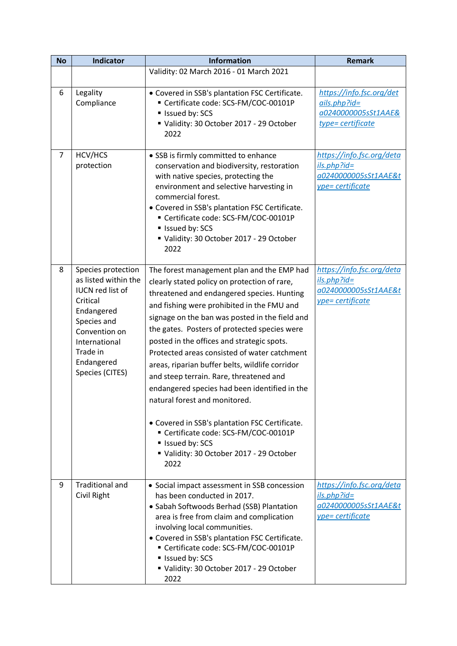| <b>No</b>      | <b>Indicator</b>                                                                                                                                                                              | <b>Information</b>                                                                                                                                                                                                                                                                                                                                                                                                                                                                                                                                                                                                                                                                                                                  | <b>Remark</b>                                                                          |
|----------------|-----------------------------------------------------------------------------------------------------------------------------------------------------------------------------------------------|-------------------------------------------------------------------------------------------------------------------------------------------------------------------------------------------------------------------------------------------------------------------------------------------------------------------------------------------------------------------------------------------------------------------------------------------------------------------------------------------------------------------------------------------------------------------------------------------------------------------------------------------------------------------------------------------------------------------------------------|----------------------------------------------------------------------------------------|
|                |                                                                                                                                                                                               | Validity: 02 March 2016 - 01 March 2021                                                                                                                                                                                                                                                                                                                                                                                                                                                                                                                                                                                                                                                                                             |                                                                                        |
| 6              | Legality<br>Compliance                                                                                                                                                                        | • Covered in SSB's plantation FSC Certificate.<br>Certificate code: SCS-FM/COC-00101P<br>Issued by: SCS<br>Validity: 30 October 2017 - 29 October<br>2022                                                                                                                                                                                                                                                                                                                                                                                                                                                                                                                                                                           | https://info.fsc.org/det<br>$ails.php?id=$<br>a0240000005sSt1AAE&<br>type= certificate |
| $\overline{7}$ | HCV/HCS<br>protection                                                                                                                                                                         | • SSB is firmly committed to enhance<br>conservation and biodiversity, restoration<br>with native species, protecting the<br>environment and selective harvesting in<br>commercial forest.<br>• Covered in SSB's plantation FSC Certificate.<br>Certificate code: SCS-FM/COC-00101P<br>Issued by: SCS<br>Validity: 30 October 2017 - 29 October<br>2022                                                                                                                                                                                                                                                                                                                                                                             | https://info.fsc.org/deta<br>ils.php?id=<br>a0240000005sSt1AAE&t<br>ype= certificate   |
| 8              | Species protection<br>as listed within the<br><b>IUCN red list of</b><br>Critical<br>Endangered<br>Species and<br>Convention on<br>International<br>Trade in<br>Endangered<br>Species (CITES) | The forest management plan and the EMP had<br>clearly stated policy on protection of rare,<br>threatened and endangered species. Hunting<br>and fishing were prohibited in the FMU and<br>signage on the ban was posted in the field and<br>the gates. Posters of protected species were<br>posted in the offices and strategic spots.<br>Protected areas consisted of water catchment<br>areas, riparian buffer belts, wildlife corridor<br>and steep terrain. Rare, threatened and<br>endangered species had been identified in the<br>natural forest and monitored.<br>• Covered in SSB's plantation FSC Certificate.<br>Certificate code: SCS-FM/COC-00101P<br>Issued by: SCS<br>Validity: 30 October 2017 - 29 October<br>2022 | https://info.fsc.org/deta<br>ils.php?id=<br>a0240000005sSt1AAE&t<br>ype= certificate   |
| 9              | <b>Traditional and</b><br>Civil Right                                                                                                                                                         | • Social impact assessment in SSB concession<br>has been conducted in 2017.<br>• Sabah Softwoods Berhad (SSB) Plantation<br>area is free from claim and complication<br>involving local communities.<br>• Covered in SSB's plantation FSC Certificate.<br>Certificate code: SCS-FM/COC-00101P<br>Issued by: SCS<br>Validity: 30 October 2017 - 29 October<br>2022                                                                                                                                                                                                                                                                                                                                                                   | https://info.fsc.org/deta<br>$ils.php?id=$<br>a0240000005sSt1AAE&t<br>ype= certificate |